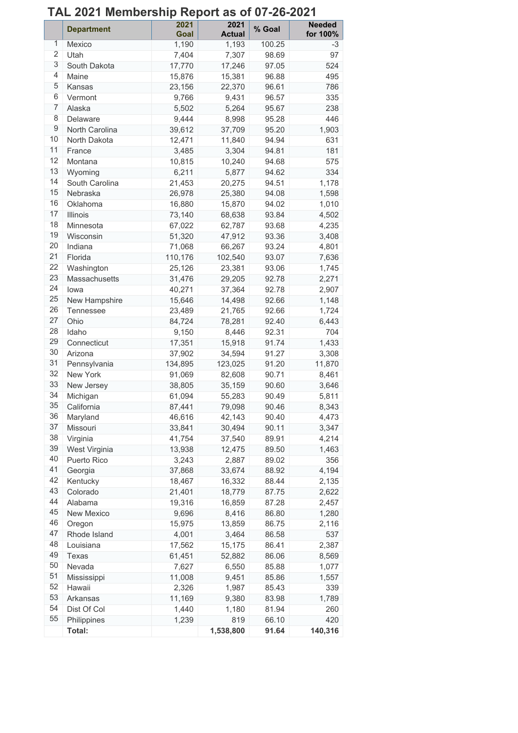# **TAL 2021 Membership Report as of 07-26-2021**

|                  | <b>Department</b> | 2021<br>Goal | 2021<br><b>Actual</b> | % Goal | <b>Needed</b><br>for 100% |
|------------------|-------------------|--------------|-----------------------|--------|---------------------------|
| 1                | Mexico            | 1,190        | 1,193                 | 100.25 | -3                        |
| $\overline{2}$   | Utah              | 7,404        | 7,307                 | 98.69  | 97                        |
| 3                | South Dakota      | 17,770       | 17,246                | 97.05  | 524                       |
| 4                | Maine             | 15,876       | 15,381                | 96.88  | 495                       |
| 5                | Kansas            | 23,156       | 22,370                | 96.61  | 786                       |
| 6                | Vermont           | 9,766        | 9,431                 | 96.57  | 335                       |
| 7                | Alaska            | 5,502        | 5,264                 | 95.67  | 238                       |
| 8                | Delaware          | 9,444        | 8,998                 | 95.28  | 446                       |
| $\boldsymbol{9}$ | North Carolina    | 39,612       | 37,709                | 95.20  | 1,903                     |
| 10               | North Dakota      | 12,471       | 11,840                | 94.94  | 631                       |
| 11               | France            | 3,485        | 3,304                 | 94.81  | 181                       |
| 12               | Montana           | 10,815       | 10,240                | 94.68  | 575                       |
| 13               | Wyoming           | 6,211        | 5,877                 | 94.62  | 334                       |
| 14               | South Carolina    | 21,453       | 20,275                | 94.51  | 1,178                     |
| 15               | Nebraska          | 26,978       | 25,380                | 94.08  | 1,598                     |
| 16               | Oklahoma          | 16,880       | 15,870                | 94.02  | 1,010                     |
| 17               | Illinois          | 73,140       | 68,638                | 93.84  | 4,502                     |
| 18               | Minnesota         | 67,022       | 62,787                | 93.68  | 4,235                     |
| 19               | Wisconsin         | 51,320       | 47,912                | 93.36  | 3,408                     |
| 20               | Indiana           | 71,068       | 66,267                | 93.24  | 4,801                     |
| 21               | Florida           | 110,176      | 102,540               | 93.07  | 7,636                     |
| 22               | Washington        | 25,126       | 23,381                | 93.06  | 1,745                     |
| 23               | Massachusetts     | 31,476       | 29,205                | 92.78  | 2,271                     |
| 24               | lowa              | 40,271       | 37,364                | 92.78  | 2,907                     |
| 25               | New Hampshire     | 15,646       | 14,498                | 92.66  | 1,148                     |
| 26               | Tennessee         | 23,489       | 21,765                | 92.66  | 1,724                     |
| 27               | Ohio              | 84,724       | 78,281                | 92.40  | 6,443                     |
| 28               | Idaho             | 9,150        | 8,446                 | 92.31  | 704                       |
| 29               | Connecticut       | 17,351       | 15,918                | 91.74  | 1,433                     |
| 30               | Arizona           | 37,902       | 34,594                | 91.27  | 3,308                     |
| 31               | Pennsylvania      | 134,895      | 123,025               | 91.20  | 11,870                    |
| 32               | <b>New York</b>   | 91,069       | 82,608                | 90.71  | 8,461                     |
| 33               | New Jersey        | 38,805       | 35,159                | 90.60  | 3,646                     |
| 34               | Michigan          | 61,094       | 55,283                | 90.49  | 5,811                     |
| 35               | California        | 87,441       | 79,098                | 90.46  | 8,343                     |
| 36               | Maryland          | 46,616       | 42,143                | 90.40  | 4,473                     |
| 37               | Missouri          | 33,841       | 30,494                | 90.11  | 3,347                     |
| 38               | Virginia          | 41,754       | 37,540                | 89.91  | 4,214                     |
| 39               | West Virginia     | 13,938       | 12,475                | 89.50  | 1,463                     |
| 40               | Puerto Rico       | 3,243        | 2,887                 | 89.02  | 356                       |
| 41               | Georgia           | 37,868       | 33,674                | 88.92  | 4,194                     |
| 42               | Kentucky          | 18,467       | 16,332                | 88.44  | 2,135                     |
| 43               | Colorado          | 21,401       | 18,779                | 87.75  | 2,622                     |
| 44               | Alabama           | 19,316       | 16,859                | 87.28  | 2,457                     |
| 45               | New Mexico        | 9,696        | 8,416                 | 86.80  | 1,280                     |
| 46               | Oregon            | 15,975       | 13,859                | 86.75  | 2,116                     |
| 47               | Rhode Island      | 4,001        | 3,464                 | 86.58  | 537                       |
| 48               | Louisiana         | 17,562       | 15,175                | 86.41  | 2,387                     |
| 49               | Texas             | 61,451       | 52,882                | 86.06  | 8,569                     |
| 50               | Nevada            | 7,627        | 6,550                 | 85.88  | 1,077                     |
| 51               | Mississippi       | 11,008       | 9,451                 | 85.86  | 1,557                     |
| 52               | Hawaii            | 2,326        | 1,987                 | 85.43  | 339                       |
| 53               | Arkansas          | 11,169       | 9,380                 | 83.98  | 1,789                     |
| 54               | Dist Of Col       | 1,440        | 1,180                 | 81.94  | 260                       |
| 55               | Philippines       | 1,239        | 819                   | 66.10  | 420                       |
|                  | Total:            |              | 1,538,800             | 91.64  | 140,316                   |